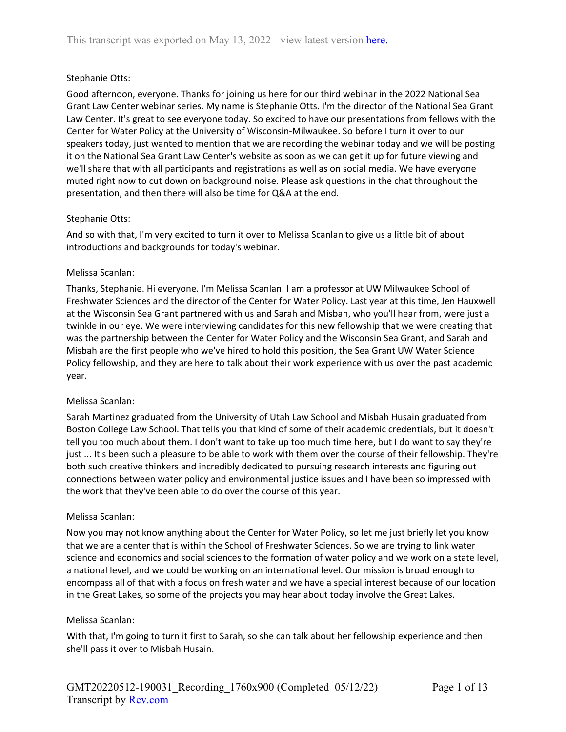## Stephanie Otts:

Good afternoon, everyone. Thanks for joining us here for our third webinar in the 2022 National Sea Grant Law Center webinar series. My name is Stephanie Otts. I'm the director of the National Sea Grant Law Center. It's great to see everyone today. So excited to have our presentations from fellows with the Center for Water Policy at the University of Wisconsin-Milwaukee. So before I turn it over to our speakers today, just wanted to mention that we are recording the webinar today and we will be posting it on the National Sea Grant Law Center's website as soon as we can get it up for future viewing and we'll share that with all participants and registrations as well as on social media. We have everyone muted right now to cut down on background noise. Please ask questions in the chat throughout the presentation, and then there will also be time for Q&A at the end.

### Stephanie Otts:

And so with that, I'm very excited to turn it over to Melissa Scanlan to give us a little bit of about introductions and backgrounds for today's webinar.

### Melissa Scanlan:

Thanks, Stephanie. Hi everyone. I'm Melissa Scanlan. I am a professor at UW Milwaukee School of Freshwater Sciences and the director of the Center for Water Policy. Last year at this time, Jen Hauxwell at the Wisconsin Sea Grant partnered with us and Sarah and Misbah, who you'll hear from, were just a twinkle in our eye. We were interviewing candidates for this new fellowship that we were creating that was the partnership between the Center for Water Policy and the Wisconsin Sea Grant, and Sarah and Misbah are the first people who we've hired to hold this position, the Sea Grant UW Water Science Policy fellowship, and they are here to talk about their work experience with us over the past academic year.

### Melissa Scanlan:

Sarah Martinez graduated from the University of Utah Law School and Misbah Husain graduated from Boston College Law School. That tells you that kind of some of their academic credentials, but it doesn't tell you too much about them. I don't want to take up too much time here, but I do want to say they're just ... It's been such a pleasure to be able to work with them over the course of their fellowship. They're both such creative thinkers and incredibly dedicated to pursuing research interests and figuring out connections between water policy and environmental justice issues and I have been so impressed with the work that they've been able to do over the course of this year.

### Melissa Scanlan:

Now you may not know anything about the Center for Water Policy, so let me just briefly let you know that we are a center that is within the School of Freshwater Sciences. So we are trying to link water science and economics and social sciences to the formation of water policy and we work on a state level, a national level, and we could be working on an international level. Our mission is broad enough to encompass all of that with a focus on fresh water and we have a special interest because of our location in the Great Lakes, so some of the projects you may hear about today involve the Great Lakes.

### Melissa Scanlan:

With that, I'm going to turn it first to Sarah, so she can talk about her fellowship experience and then she'll pass it over to Misbah Husain.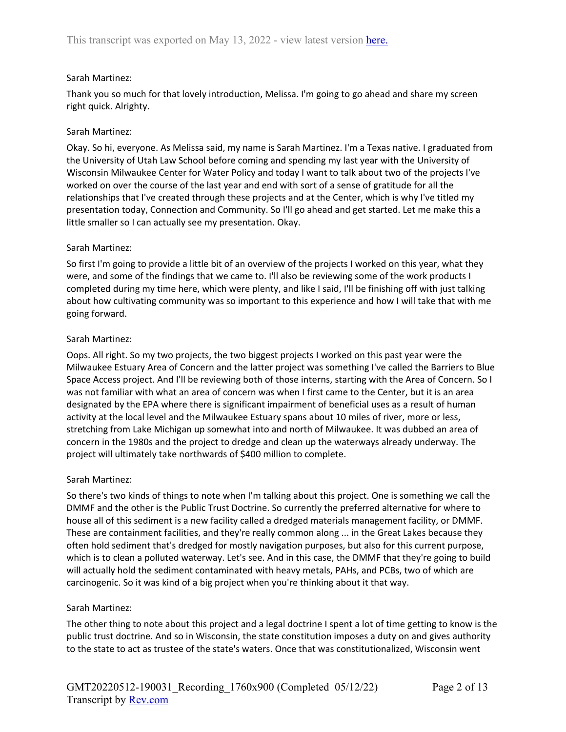### Sarah Martinez:

Thank you so much for that lovely introduction, Melissa. I'm going to go ahead and share my screen right quick. Alrighty.

### Sarah Martinez:

Okay. So hi, everyone. As Melissa said, my name is Sarah Martinez. I'm a Texas native. I graduated from the University of Utah Law School before coming and spending my last year with the University of Wisconsin Milwaukee Center for Water Policy and today I want to talk about two of the projects I've worked on over the course of the last year and end with sort of a sense of gratitude for all the relationships that I've created through these projects and at the Center, which is why I've titled my presentation today, Connection and Community. So I'll go ahead and get started. Let me make this a little smaller so I can actually see my presentation. Okay.

### Sarah Martinez:

So first I'm going to provide a little bit of an overview of the projects I worked on this year, what they were, and some of the findings that we came to. I'll also be reviewing some of the work products I completed during my time here, which were plenty, and like I said, I'll be finishing off with just talking about how cultivating community was so important to this experience and how I will take that with me going forward.

### Sarah Martinez:

Oops. All right. So my two projects, the two biggest projects I worked on this past year were the Milwaukee Estuary Area of Concern and the latter project was something I've called the Barriers to Blue Space Access project. And I'll be reviewing both of those interns, starting with the Area of Concern. So I was not familiar with what an area of concern was when I first came to the Center, but it is an area designated by the EPA where there is significant impairment of beneficial uses as a result of human activity at the local level and the Milwaukee Estuary spans about 10 miles of river, more or less, stretching from Lake Michigan up somewhat into and north of Milwaukee. It was dubbed an area of concern in the 1980s and the project to dredge and clean up the waterways already underway. The project will ultimately take northwards of \$400 million to complete.

### Sarah Martinez:

So there's two kinds of things to note when I'm talking about this project. One is something we call the DMMF and the other is the Public Trust Doctrine. So currently the preferred alternative for where to house all of this sediment is a new facility called a dredged materials management facility, or DMMF. These are containment facilities, and they're really common along ... in the Great Lakes because they often hold sediment that's dredged for mostly navigation purposes, but also for this current purpose, which is to clean a polluted waterway. Let's see. And in this case, the DMMF that they're going to build will actually hold the sediment contaminated with heavy metals, PAHs, and PCBs, two of which are carcinogenic. So it was kind of a big project when you're thinking about it that way.

### Sarah Martinez:

The other thing to note about this project and a legal doctrine I spent a lot of time getting to know is the public trust doctrine. And so in Wisconsin, the state constitution imposes a duty on and gives authority to the state to act as trustee of the state's waters. Once that was constitutionalized, Wisconsin went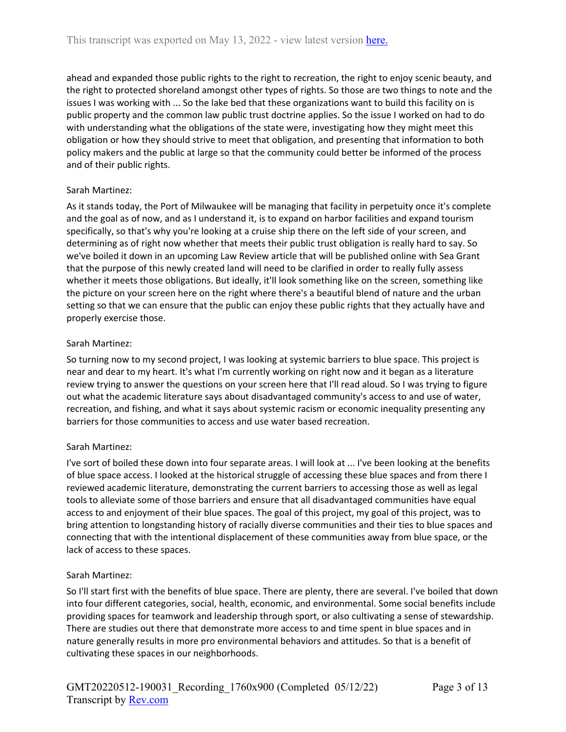ahead and expanded those public rights to the right to recreation, the right to enjoy scenic beauty, and the right to protected shoreland amongst other types of rights. So those are two things to note and the issues I was working with ... So the lake bed that these organizations want to build this facility on is public property and the common law public trust doctrine applies. So the issue I worked on had to do with understanding what the obligations of the state were, investigating how they might meet this obligation or how they should strive to meet that obligation, and presenting that information to both policy makers and the public at large so that the community could better be informed of the process and of their public rights.

# Sarah Martinez:

As it stands today, the Port of Milwaukee will be managing that facility in perpetuity once it's complete and the goal as of now, and as I understand it, is to expand on harbor facilities and expand tourism specifically, so that's why you're looking at a cruise ship there on the left side of your screen, and determining as of right now whether that meets their public trust obligation is really hard to say. So we've boiled it down in an upcoming Law Review article that will be published online with Sea Grant that the purpose of this newly created land will need to be clarified in order to really fully assess whether it meets those obligations. But ideally, it'll look something like on the screen, something like the picture on your screen here on the right where there's a beautiful blend of nature and the urban setting so that we can ensure that the public can enjoy these public rights that they actually have and properly exercise those.

# Sarah Martinez:

So turning now to my second project, I was looking at systemic barriers to blue space. This project is near and dear to my heart. It's what I'm currently working on right now and it began as a literature review trying to answer the questions on your screen here that I'll read aloud. So I was trying to figure out what the academic literature says about disadvantaged community's access to and use of water, recreation, and fishing, and what it says about systemic racism or economic inequality presenting any barriers for those communities to access and use water based recreation.

## Sarah Martinez:

I've sort of boiled these down into four separate areas. I will look at ... I've been looking at the benefits of blue space access. I looked at the historical struggle of accessing these blue spaces and from there I reviewed academic literature, demonstrating the current barriers to accessing those as well as legal tools to alleviate some of those barriers and ensure that all disadvantaged communities have equal access to and enjoyment of their blue spaces. The goal of this project, my goal of this project, was to bring attention to longstanding history of racially diverse communities and their ties to blue spaces and connecting that with the intentional displacement of these communities away from blue space, or the lack of access to these spaces.

## Sarah Martinez:

So I'll start first with the benefits of blue space. There are plenty, there are several. I've boiled that down into four different categories, social, health, economic, and environmental. Some social benefits include providing spaces for teamwork and leadership through sport, or also cultivating a sense of stewardship. There are studies out there that demonstrate more access to and time spent in blue spaces and in nature generally results in more pro environmental behaviors and attitudes. So that is a benefit of cultivating these spaces in our neighborhoods.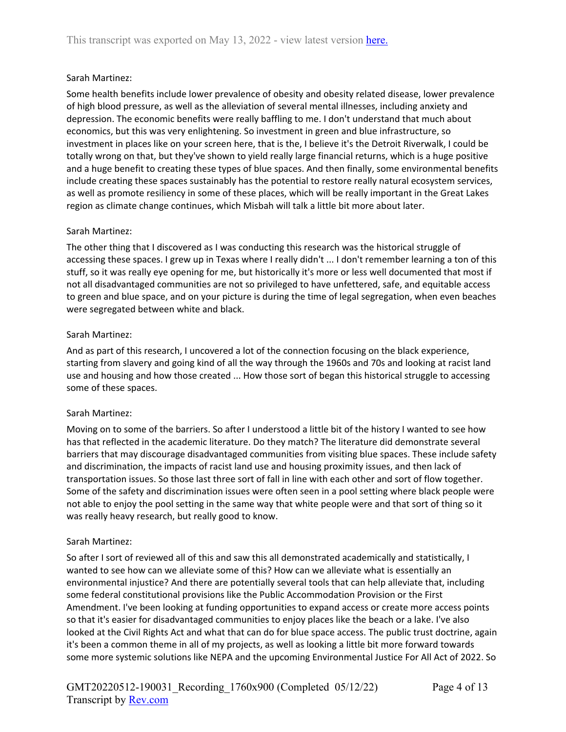## Sarah Martinez:

Some health benefits include lower prevalence of obesity and obesity related disease, lower prevalence of high blood pressure, as well as the alleviation of several mental illnesses, including anxiety and depression. The economic benefits were really baffling to me. I don't understand that much about economics, but this was very enlightening. So investment in green and blue infrastructure, so investment in places like on your screen here, that is the, I believe it's the Detroit Riverwalk, I could be totally wrong on that, but they've shown to yield really large financial returns, which is a huge positive and a huge benefit to creating these types of blue spaces. And then finally, some environmental benefits include creating these spaces sustainably has the potential to restore really natural ecosystem services, as well as promote resiliency in some of these places, which will be really important in the Great Lakes region as climate change continues, which Misbah will talk a little bit more about later.

## Sarah Martinez:

The other thing that I discovered as I was conducting this research was the historical struggle of accessing these spaces. I grew up in Texas where I really didn't ... I don't remember learning a ton of this stuff, so it was really eye opening for me, but historically it's more or less well documented that most if not all disadvantaged communities are not so privileged to have unfettered, safe, and equitable access to green and blue space, and on your picture is during the time of legal segregation, when even beaches were segregated between white and black.

### Sarah Martinez:

And as part of this research, I uncovered a lot of the connection focusing on the black experience, starting from slavery and going kind of all the way through the 1960s and 70s and looking at racist land use and housing and how those created ... How those sort of began this historical struggle to accessing some of these spaces.

### Sarah Martinez:

Moving on to some of the barriers. So after I understood a little bit of the history I wanted to see how has that reflected in the academic literature. Do they match? The literature did demonstrate several barriers that may discourage disadvantaged communities from visiting blue spaces. These include safety and discrimination, the impacts of racist land use and housing proximity issues, and then lack of transportation issues. So those last three sort of fall in line with each other and sort of flow together. Some of the safety and discrimination issues were often seen in a pool setting where black people were not able to enjoy the pool setting in the same way that white people were and that sort of thing so it was really heavy research, but really good to know.

### Sarah Martinez:

So after I sort of reviewed all of this and saw this all demonstrated academically and statistically, I wanted to see how can we alleviate some of this? How can we alleviate what is essentially an environmental injustice? And there are potentially several tools that can help alleviate that, including some federal constitutional provisions like the Public Accommodation Provision or the First Amendment. I've been looking at funding opportunities to expand access or create more access points so that it's easier for disadvantaged communities to enjoy places like the beach or a lake. I've also looked at the Civil Rights Act and what that can do for blue space access. The public trust doctrine, again it's been a common theme in all of my projects, as well as looking a little bit more forward towards some more systemic solutions like NEPA and the upcoming Environmental Justice For All Act of 2022. So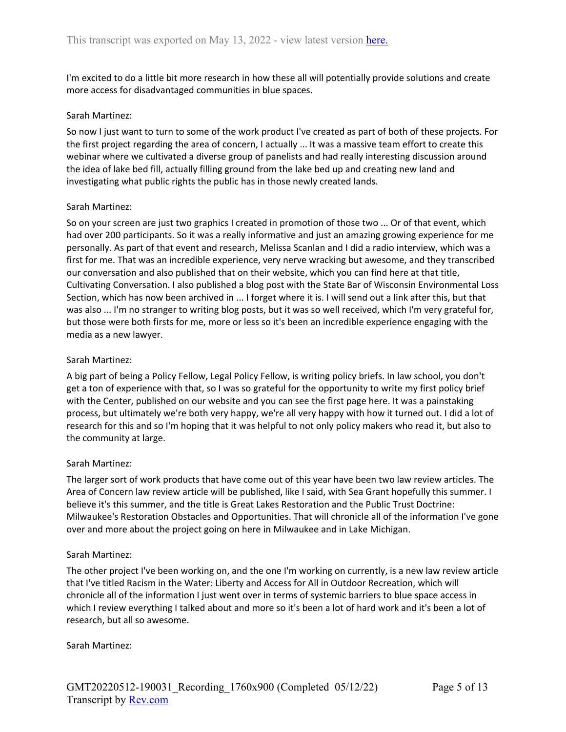I'm excited to do a little bit more research in how these all will potentially provide solutions and create more access for disadvantaged communities in blue spaces.

#### Sarah Martinez:

So now I just want to turn to some of the work product I've created as part of both of these projects. For the first project regarding the area of concern, I actually ... It was a massive team effort to create this webinar where we cultivated a diverse group of panelists and had really interesting discussion around the idea of lake bed fill, actually filling ground from the lake bed up and creating new land and investigating what public rights the public has in those newly created lands.

#### Sarah Martinez:

So on your screen are just two graphics I created in promotion of those two ... Or of that event, which had over 200 participants. So it was a really informative and just an amazing growing experience for me personally. As part of that event and research, Melissa Scanlan and I did a radio interview, which was a first for me. That was an incredible experience, very nerve wracking but awesome, and they transcribed our conversation and also published that on their website, which you can find here at that title, Cultivating Conversation. I also published a blog post with the State Bar of Wisconsin Environmental Loss Section, which has now been archived in ... I forget where it is. I will send out a link after this, but that was also ... I'm no stranger to writing blog posts, but it was so well received, which I'm very grateful for, but those were both firsts for me, more or less so it's been an incredible experience engaging with the media as a new lawyer.

### Sarah Martinez:

A big part of being a Policy Fellow, Legal Policy Fellow, is writing policy briefs. In law school, you don't get a ton of experience with that, so I was so grateful for the opportunity to write my first policy brief with the Center, published on our website and you can see the first page here. It was a painstaking process, but ultimately we're both very happy, we're all very happy with how it turned out. I did a lot of research for this and so I'm hoping that it was helpful to not only policy makers who read it, but also to the community at large.

### Sarah Martinez:

The larger sort of work products that have come out of this year have been two law review articles. The Area of Concern law review article will be published, like I said, with Sea Grant hopefully this summer. I believe it's this summer, and the title is Great Lakes Restoration and the Public Trust Doctrine: Milwaukee's Restoration Obstacles and Opportunities. That will chronicle all of the information I've gone over and more about the project going on here in Milwaukee and in Lake Michigan.

### Sarah Martinez:

The other project I've been working on, and the one I'm working on currently, is a new law review article that I've titled Racism in the Water: Liberty and Access for All in Outdoor Recreation, which will chronicle all of the information I just went over in terms of systemic barriers to blue space access in which I review everything I talked about and more so it's been a lot of hard work and it's been a lot of research, but all so awesome.

### Sarah Martinez: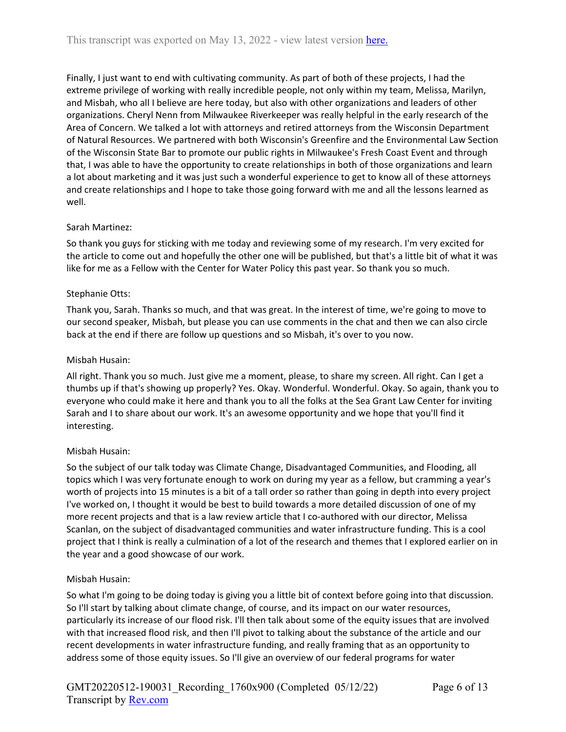Finally, I just want to end with cultivating community. As part of both of these projects, I had the extreme privilege of working with really incredible people, not only within my team, Melissa, Marilyn, and Misbah, who all I believe are here today, but also with other organizations and leaders of other organizations. Cheryl Nenn from Milwaukee Riverkeeper was really helpful in the early research of the Area of Concern. We talked a lot with attorneys and retired attorneys from the Wisconsin Department of Natural Resources. We partnered with both Wisconsin's Greenfire and the Environmental Law Section of the Wisconsin State Bar to promote our public rights in Milwaukee's Fresh Coast Event and through that, I was able to have the opportunity to create relationships in both of those organizations and learn a lot about marketing and it was just such a wonderful experience to get to know all of these attorneys and create relationships and I hope to take those going forward with me and all the lessons learned as well.

## Sarah Martinez:

So thank you guys for sticking with me today and reviewing some of my research. I'm very excited for the article to come out and hopefully the other one will be published, but that's a little bit of what it was like for me as a Fellow with the Center for Water Policy this past year. So thank you so much.

### Stephanie Otts:

Thank you, Sarah. Thanks so much, and that was great. In the interest of time, we're going to move to our second speaker, Misbah, but please you can use comments in the chat and then we can also circle back at the end if there are follow up questions and so Misbah, it's over to you now.

## Misbah Husain:

All right. Thank you so much. Just give me a moment, please, to share my screen. All right. Can I get a thumbs up if that's showing up properly? Yes. Okay. Wonderful. Wonderful. Okay. So again, thank you to everyone who could make it here and thank you to all the folks at the Sea Grant Law Center for inviting Sarah and I to share about our work. It's an awesome opportunity and we hope that you'll find it interesting.

### Misbah Husain:

So the subject of our talk today was Climate Change, Disadvantaged Communities, and Flooding, all topics which I was very fortunate enough to work on during my year as a fellow, but cramming a year's worth of projects into 15 minutes is a bit of a tall order so rather than going in depth into every project I've worked on, I thought it would be best to build towards a more detailed discussion of one of my more recent projects and that is a law review article that I co-authored with our director, Melissa Scanlan, on the subject of disadvantaged communities and water infrastructure funding. This is a cool project that I think is really a culmination of a lot of the research and themes that I explored earlier on in the year and a good showcase of our work.

### Misbah Husain:

So what I'm going to be doing today is giving you a little bit of context before going into that discussion. So I'll start by talking about climate change, of course, and its impact on our water resources, particularly its increase of our flood risk. I'll then talk about some of the equity issues that are involved with that increased flood risk, and then I'll pivot to talking about the substance of the article and our recent developments in water infrastructure funding, and really framing that as an opportunity to address some of those equity issues. So I'll give an overview of our federal programs for water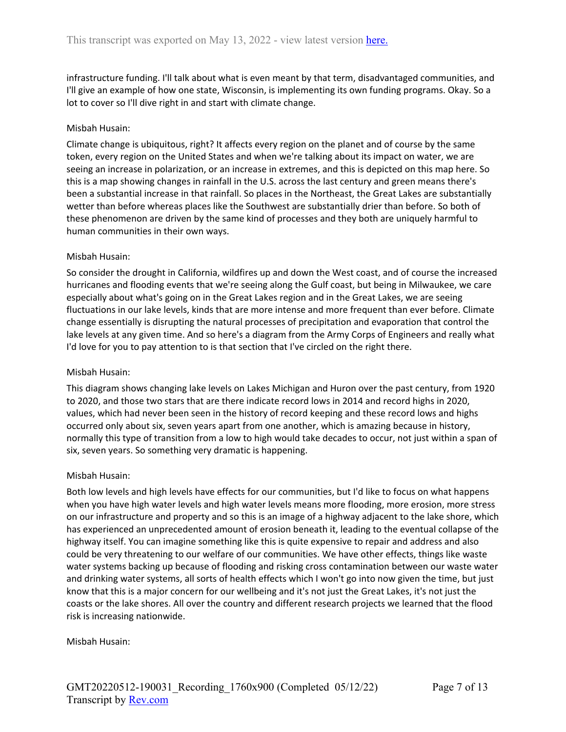infrastructure funding. I'll talk about what is even meant by that term, disadvantaged communities, and I'll give an example of how one state, Wisconsin, is implementing its own funding programs. Okay. So a lot to cover so I'll dive right in and start with climate change.

### Misbah Husain:

Climate change is ubiquitous, right? It affects every region on the planet and of course by the same token, every region on the United States and when we're talking about its impact on water, we are seeing an increase in polarization, or an increase in extremes, and this is depicted on this map here. So this is a map showing changes in rainfall in the U.S. across the last century and green means there's been a substantial increase in that rainfall. So places in the Northeast, the Great Lakes are substantially wetter than before whereas places like the Southwest are substantially drier than before. So both of these phenomenon are driven by the same kind of processes and they both are uniquely harmful to human communities in their own ways.

## Misbah Husain:

So consider the drought in California, wildfires up and down the West coast, and of course the increased hurricanes and flooding events that we're seeing along the Gulf coast, but being in Milwaukee, we care especially about what's going on in the Great Lakes region and in the Great Lakes, we are seeing fluctuations in our lake levels, kinds that are more intense and more frequent than ever before. Climate change essentially is disrupting the natural processes of precipitation and evaporation that control the lake levels at any given time. And so here's a diagram from the Army Corps of Engineers and really what I'd love for you to pay attention to is that section that I've circled on the right there.

### Misbah Husain:

This diagram shows changing lake levels on Lakes Michigan and Huron over the past century, from 1920 to 2020, and those two stars that are there indicate record lows in 2014 and record highs in 2020, values, which had never been seen in the history of record keeping and these record lows and highs occurred only about six, seven years apart from one another, which is amazing because in history, normally this type of transition from a low to high would take decades to occur, not just within a span of six, seven years. So something very dramatic is happening.

### Misbah Husain:

Both low levels and high levels have effects for our communities, but I'd like to focus on what happens when you have high water levels and high water levels means more flooding, more erosion, more stress on our infrastructure and property and so this is an image of a highway adjacent to the lake shore, which has experienced an unprecedented amount of erosion beneath it, leading to the eventual collapse of the highway itself. You can imagine something like this is quite expensive to repair and address and also could be very threatening to our welfare of our communities. We have other effects, things like waste water systems backing up because of flooding and risking cross contamination between our waste water and drinking water systems, all sorts of health effects which I won't go into now given the time, but just know that this is a major concern for our wellbeing and it's not just the Great Lakes, it's not just the coasts or the lake shores. All over the country and different research projects we learned that the flood risk is increasing nationwide.

### Misbah Husain: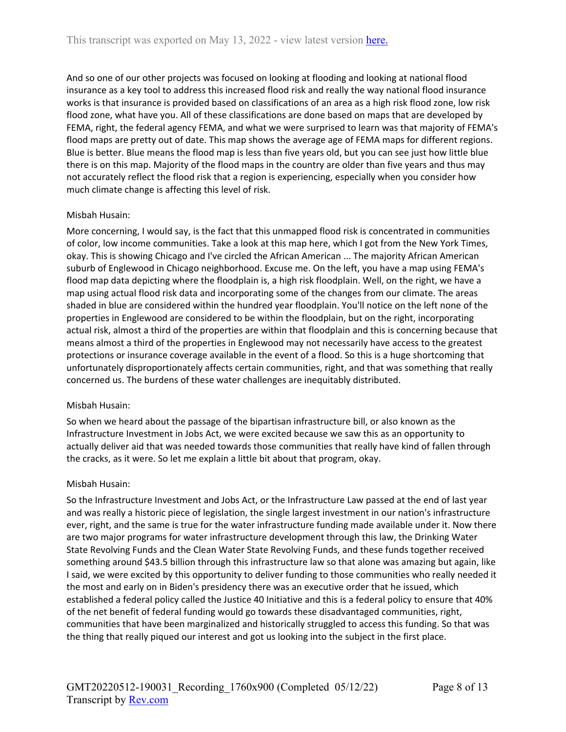And so one of our other projects was focused on looking at flooding and looking at national flood insurance as a key tool to address this increased flood risk and really the way national flood insurance works is that insurance is provided based on classifications of an area as a high risk flood zone, low risk flood zone, what have you. All of these classifications are done based on maps that are developed by FEMA, right, the federal agency FEMA, and what we were surprised to learn was that majority of FEMA's flood maps are pretty out of date. This map shows the average age of FEMA maps for different regions. Blue is better. Blue means the flood map is less than five years old, but you can see just how little blue there is on this map. Majority of the flood maps in the country are older than five years and thus may not accurately reflect the flood risk that a region is experiencing, especially when you consider how much climate change is affecting this level of risk.

### Misbah Husain:

More concerning, I would say, is the fact that this unmapped flood risk is concentrated in communities of color, low income communities. Take a look at this map here, which I got from the New York Times, okay. This is showing Chicago and I've circled the African American ... The majority African American suburb of Englewood in Chicago neighborhood. Excuse me. On the left, you have a map using FEMA's flood map data depicting where the floodplain is, a high risk floodplain. Well, on the right, we have a map using actual flood risk data and incorporating some of the changes from our climate. The areas shaded in blue are considered within the hundred year floodplain. You'll notice on the left none of the properties in Englewood are considered to be within the floodplain, but on the right, incorporating actual risk, almost a third of the properties are within that floodplain and this is concerning because that means almost a third of the properties in Englewood may not necessarily have access to the greatest protections or insurance coverage available in the event of a flood. So this is a huge shortcoming that unfortunately disproportionately affects certain communities, right, and that was something that really concerned us. The burdens of these water challenges are inequitably distributed.

### Misbah Husain:

So when we heard about the passage of the bipartisan infrastructure bill, or also known as the Infrastructure Investment in Jobs Act, we were excited because we saw this as an opportunity to actually deliver aid that was needed towards those communities that really have kind of fallen through the cracks, as it were. So let me explain a little bit about that program, okay.

### Misbah Husain:

So the Infrastructure Investment and Jobs Act, or the Infrastructure Law passed at the end of last year and was really a historic piece of legislation, the single largest investment in our nation's infrastructure ever, right, and the same is true for the water infrastructure funding made available under it. Now there are two major programs for water infrastructure development through this law, the Drinking Water State Revolving Funds and the Clean Water State Revolving Funds, and these funds together received something around \$43.5 billion through this infrastructure law so that alone was amazing but again, like I said, we were excited by this opportunity to deliver funding to those communities who really needed it the most and early on in Biden's presidency there was an executive order that he issued, which established a federal policy called the Justice 40 Initiative and this is a federal policy to ensure that 40% of the net benefit of federal funding would go towards these disadvantaged communities, right, communities that have been marginalized and historically struggled to access this funding. So that was the thing that really piqued our interest and got us looking into the subject in the first place.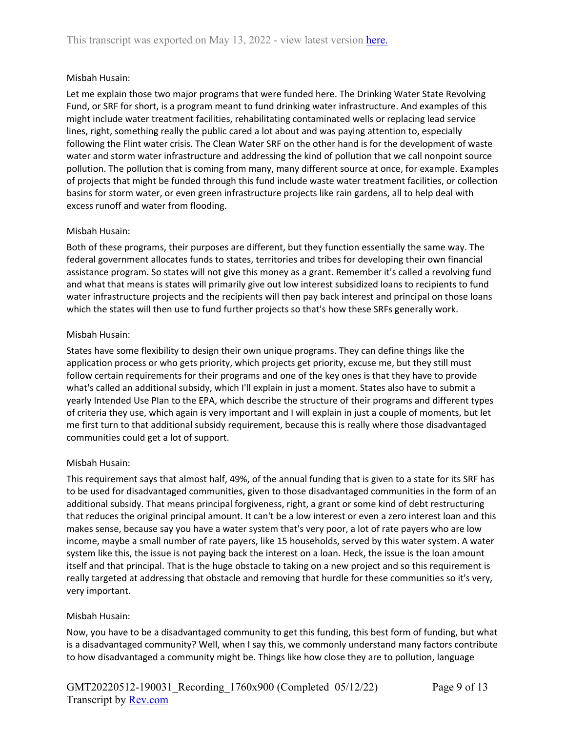## Misbah Husain:

Let me explain those two major programs that were funded here. The Drinking Water State Revolving Fund, or SRF for short, is a program meant to fund drinking water infrastructure. And examples of this might include water treatment facilities, rehabilitating contaminated wells or replacing lead service lines, right, something really the public cared a lot about and was paying attention to, especially following the Flint water crisis. The Clean Water SRF on the other hand is for the development of waste water and storm water infrastructure and addressing the kind of pollution that we call nonpoint source pollution. The pollution that is coming from many, many different source at once, for example. Examples of projects that might be funded through this fund include waste water treatment facilities, or collection basins for storm water, or even green infrastructure projects like rain gardens, all to help deal with excess runoff and water from flooding.

## Misbah Husain:

Both of these programs, their purposes are different, but they function essentially the same way. The federal government allocates funds to states, territories and tribes for developing their own financial assistance program. So states will not give this money as a grant. Remember it's called a revolving fund and what that means is states will primarily give out low interest subsidized loans to recipients to fund water infrastructure projects and the recipients will then pay back interest and principal on those loans which the states will then use to fund further projects so that's how these SRFs generally work.

## Misbah Husain:

States have some flexibility to design their own unique programs. They can define things like the application process or who gets priority, which projects get priority, excuse me, but they still must follow certain requirements for their programs and one of the key ones is that they have to provide what's called an additional subsidy, which I'll explain in just a moment. States also have to submit a yearly Intended Use Plan to the EPA, which describe the structure of their programs and different types of criteria they use, which again is very important and I will explain in just a couple of moments, but let me first turn to that additional subsidy requirement, because this is really where those disadvantaged communities could get a lot of support.

## Misbah Husain:

This requirement says that almost half, 49%, of the annual funding that is given to a state for its SRF has to be used for disadvantaged communities, given to those disadvantaged communities in the form of an additional subsidy. That means principal forgiveness, right, a grant or some kind of debt restructuring that reduces the original principal amount. It can't be a low interest or even a zero interest loan and this makes sense, because say you have a water system that's very poor, a lot of rate payers who are low income, maybe a small number of rate payers, like 15 households, served by this water system. A water system like this, the issue is not paying back the interest on a loan. Heck, the issue is the loan amount itself and that principal. That is the huge obstacle to taking on a new project and so this requirement is really targeted at addressing that obstacle and removing that hurdle for these communities so it's very, very important.

## Misbah Husain:

Now, you have to be a disadvantaged community to get this funding, this best form of funding, but what is a disadvantaged community? Well, when I say this, we commonly understand many factors contribute to how disadvantaged a community might be. Things like how close they are to pollution, language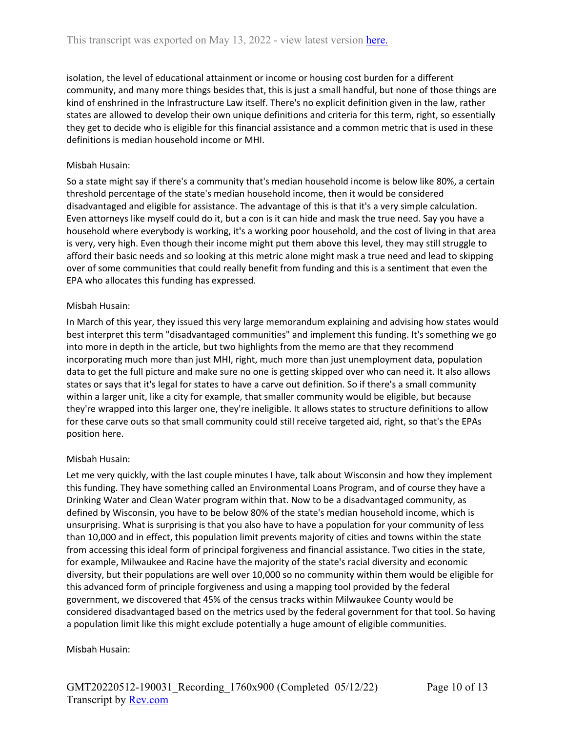isolation, the level of educational attainment or income or housing cost burden for a different community, and many more things besides that, this is just a small handful, but none of those things are kind of enshrined in the Infrastructure Law itself. There's no explicit definition given in the law, rather states are allowed to develop their own unique definitions and criteria for this term, right, so essentially they get to decide who is eligible for this financial assistance and a common metric that is used in these definitions is median household income or MHI.

## Misbah Husain:

So a state might say if there's a community that's median household income is below like 80%, a certain threshold percentage of the state's median household income, then it would be considered disadvantaged and eligible for assistance. The advantage of this is that it's a very simple calculation. Even attorneys like myself could do it, but a con is it can hide and mask the true need. Say you have a household where everybody is working, it's a working poor household, and the cost of living in that area is very, very high. Even though their income might put them above this level, they may still struggle to afford their basic needs and so looking at this metric alone might mask a true need and lead to skipping over of some communities that could really benefit from funding and this is a sentiment that even the EPA who allocates this funding has expressed.

## Misbah Husain:

In March of this year, they issued this very large memorandum explaining and advising how states would best interpret this term "disadvantaged communities" and implement this funding. It's something we go into more in depth in the article, but two highlights from the memo are that they recommend incorporating much more than just MHI, right, much more than just unemployment data, population data to get the full picture and make sure no one is getting skipped over who can need it. It also allows states or says that it's legal for states to have a carve out definition. So if there's a small community within a larger unit, like a city for example, that smaller community would be eligible, but because they're wrapped into this larger one, they're ineligible. It allows states to structure definitions to allow for these carve outs so that small community could still receive targeted aid, right, so that's the EPAs position here.

## Misbah Husain:

Let me very quickly, with the last couple minutes I have, talk about Wisconsin and how they implement this funding. They have something called an Environmental Loans Program, and of course they have a Drinking Water and Clean Water program within that. Now to be a disadvantaged community, as defined by Wisconsin, you have to be below 80% of the state's median household income, which is unsurprising. What is surprising is that you also have to have a population for your community of less than 10,000 and in effect, this population limit prevents majority of cities and towns within the state from accessing this ideal form of principal forgiveness and financial assistance. Two cities in the state, for example, Milwaukee and Racine have the majority of the state's racial diversity and economic diversity, but their populations are well over 10,000 so no community within them would be eligible for this advanced form of principle forgiveness and using a mapping tool provided by the federal government, we discovered that 45% of the census tracks within Milwaukee County would be considered disadvantaged based on the metrics used by the federal government for that tool. So having a population limit like this might exclude potentially a huge amount of eligible communities.

## Misbah Husain: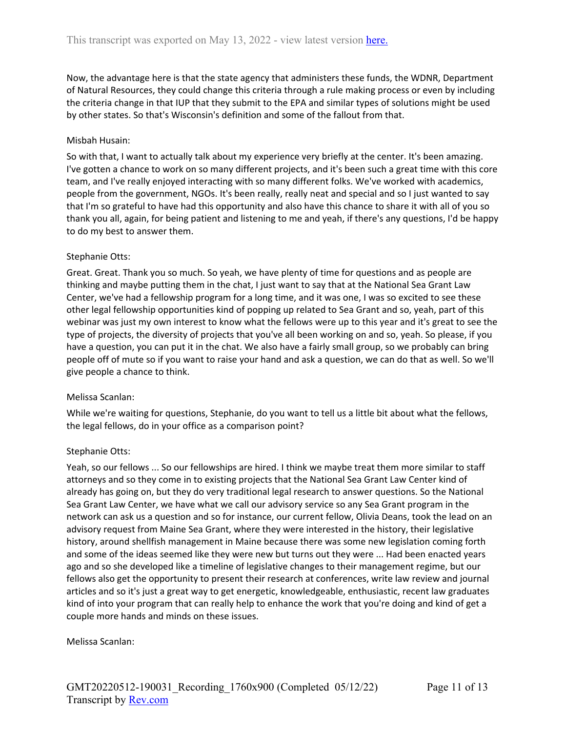Now, the advantage here is that the state agency that administers these funds, the WDNR, Department of Natural Resources, they could change this criteria through a rule making process or even by including the criteria change in that IUP that they submit to the EPA and similar types of solutions might be used by other states. So that's Wisconsin's definition and some of the fallout from that.

## Misbah Husain:

So with that, I want to actually talk about my experience very briefly at the center. It's been amazing. I've gotten a chance to work on so many different projects, and it's been such a great time with this core team, and I've really enjoyed interacting with so many different folks. We've worked with academics, people from the government, NGOs. It's been really, really neat and special and so I just wanted to say that I'm so grateful to have had this opportunity and also have this chance to share it with all of you so thank you all, again, for being patient and listening to me and yeah, if there's any questions, I'd be happy to do my best to answer them.

### Stephanie Otts:

Great. Great. Thank you so much. So yeah, we have plenty of time for questions and as people are thinking and maybe putting them in the chat, I just want to say that at the National Sea Grant Law Center, we've had a fellowship program for a long time, and it was one, I was so excited to see these other legal fellowship opportunities kind of popping up related to Sea Grant and so, yeah, part of this webinar was just my own interest to know what the fellows were up to this year and it's great to see the type of projects, the diversity of projects that you've all been working on and so, yeah. So please, if you have a question, you can put it in the chat. We also have a fairly small group, so we probably can bring people off of mute so if you want to raise your hand and ask a question, we can do that as well. So we'll give people a chance to think.

### Melissa Scanlan:

While we're waiting for questions, Stephanie, do you want to tell us a little bit about what the fellows, the legal fellows, do in your office as a comparison point?

### Stephanie Otts:

Yeah, so our fellows ... So our fellowships are hired. I think we maybe treat them more similar to staff attorneys and so they come in to existing projects that the National Sea Grant Law Center kind of already has going on, but they do very traditional legal research to answer questions. So the National Sea Grant Law Center, we have what we call our advisory service so any Sea Grant program in the network can ask us a question and so for instance, our current fellow, Olivia Deans, took the lead on an advisory request from Maine Sea Grant, where they were interested in the history, their legislative history, around shellfish management in Maine because there was some new legislation coming forth and some of the ideas seemed like they were new but turns out they were ... Had been enacted years ago and so she developed like a timeline of legislative changes to their management regime, but our fellows also get the opportunity to present their research at conferences, write law review and journal articles and so it's just a great way to get energetic, knowledgeable, enthusiastic, recent law graduates kind of into your program that can really help to enhance the work that you're doing and kind of get a couple more hands and minds on these issues.

### Melissa Scanlan: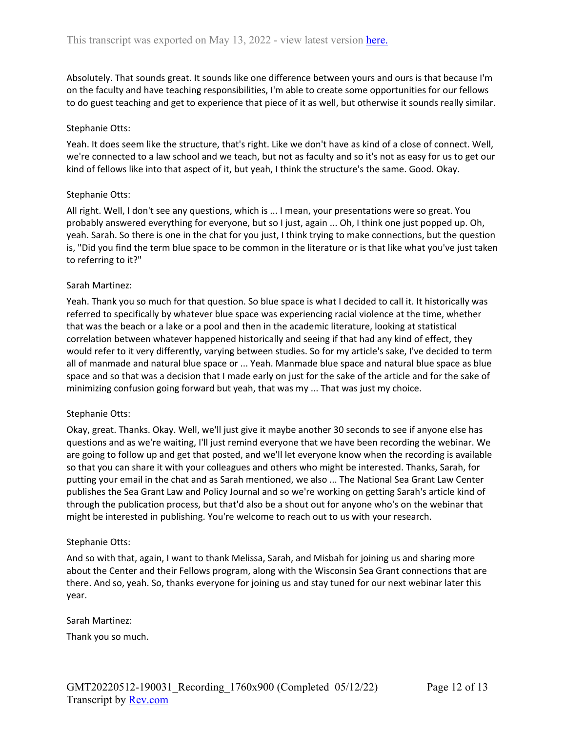Absolutely. That sounds great. It sounds like one difference between yours and ours is that because I'm on the faculty and have teaching responsibilities, I'm able to create some opportunities for our fellows to do guest teaching and get to experience that piece of it as well, but otherwise it sounds really similar.

#### Stephanie Otts:

Yeah. It does seem like the structure, that's right. Like we don't have as kind of a close of connect. Well, we're connected to a law school and we teach, but not as faculty and so it's not as easy for us to get our kind of fellows like into that aspect of it, but yeah, I think the structure's the same. Good. Okay.

### Stephanie Otts:

All right. Well, I don't see any questions, which is ... I mean, your presentations were so great. You probably answered everything for everyone, but so I just, again ... Oh, I think one just popped up. Oh, yeah. Sarah. So there is one in the chat for you just, I think trying to make connections, but the question is, "Did you find the term blue space to be common in the literature or is that like what you've just taken to referring to it?"

#### Sarah Martinez:

Yeah. Thank you so much for that question. So blue space is what I decided to call it. It historically was referred to specifically by whatever blue space was experiencing racial violence at the time, whether that was the beach or a lake or a pool and then in the academic literature, looking at statistical correlation between whatever happened historically and seeing if that had any kind of effect, they would refer to it very differently, varying between studies. So for my article's sake, I've decided to term all of manmade and natural blue space or ... Yeah. Manmade blue space and natural blue space as blue space and so that was a decision that I made early on just for the sake of the article and for the sake of minimizing confusion going forward but yeah, that was my ... That was just my choice.

### Stephanie Otts:

Okay, great. Thanks. Okay. Well, we'll just give it maybe another 30 seconds to see if anyone else has questions and as we're waiting, I'll just remind everyone that we have been recording the webinar. We are going to follow up and get that posted, and we'll let everyone know when the recording is available so that you can share it with your colleagues and others who might be interested. Thanks, Sarah, for putting your email in the chat and as Sarah mentioned, we also ... The National Sea Grant Law Center publishes the Sea Grant Law and Policy Journal and so we're working on getting Sarah's article kind of through the publication process, but that'd also be a shout out for anyone who's on the webinar that might be interested in publishing. You're welcome to reach out to us with your research.

#### Stephanie Otts:

And so with that, again, I want to thank Melissa, Sarah, and Misbah for joining us and sharing more about the Center and their Fellows program, along with the Wisconsin Sea Grant connections that are there. And so, yeah. So, thanks everyone for joining us and stay tuned for our next webinar later this year.

#### Sarah Martinez:

Thank you so much.